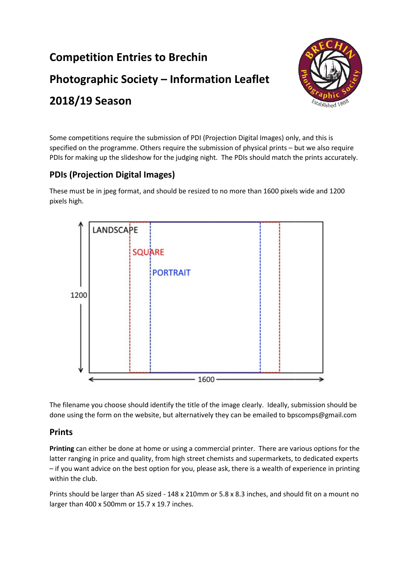## **Competition Entries to Brechin Competition Entries to Brechin<br>Photographic Society – Information Leaflet 2018/19 Season**



Some competitions require the submission of PDI (Projection Digital Images) only, and this is specified on the programme. Others require the submission of physical prints – but we also require PDIs for making up the slideshow for the judging night. The PDIs should match the prints accurately.

## **PDIs (Projection Digital Images)**

These must be in jpeg format, and should be resized to no more than 1600 pixels wide and 1200 pixels high.



The filename you choose should identify the title of the image clearly. Ideally, submission should be done using the form on the website, but alternatively they can be emailed to bpscomps@gmail.com

## **Prints**

**Printing** can either be done at home or using a commercial printer. There are various options for the Printing can either be done at home or using a commercial printer. There are various options for the<br>latter ranging in price and quality, from high street chemists and supermarkets, to dedicated experts – if you want advice on the best option for you, please ask, there is a wealth of experience in printing within the club.

Prints should be larger than A5 sized - 148 x 210mm or 5.8 x 8.3 inches, and should fit on a mount no larger than 400 x 500mm or 15.7 x 19.7 inches.